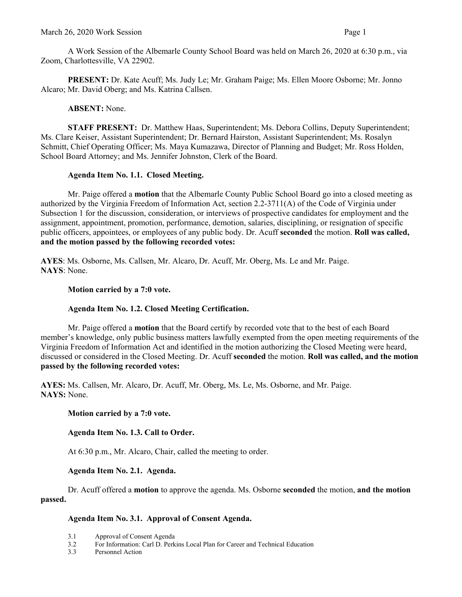A Work Session of the Albemarle County School Board was held on March 26, 2020 at 6:30 p.m., via Zoom, Charlottesville, VA 22902.

**PRESENT:** Dr. Kate Acuff; Ms. Judy Le; Mr. Graham Paige; Ms. Ellen Moore Osborne; Mr. Jonno Alcaro; Mr. David Oberg; and Ms. Katrina Callsen.

## **ABSENT:** None.

**STAFF PRESENT:** Dr. Matthew Haas, Superintendent; Ms. Debora Collins, Deputy Superintendent; Ms. Clare Keiser, Assistant Superintendent; Dr. Bernard Hairston, Assistant Superintendent; Ms. Rosalyn Schmitt, Chief Operating Officer; Ms. Maya Kumazawa, Director of Planning and Budget; Mr. Ross Holden, School Board Attorney; and Ms. Jennifer Johnston, Clerk of the Board.

## **Agenda Item No. 1.1. Closed Meeting.**

Mr. Paige offered a **motion** that the Albemarle County Public School Board go into a closed meeting as authorized by the Virginia Freedom of Information Act, section 2.2-3711(A) of the Code of Virginia under Subsection 1 for the discussion, consideration, or interviews of prospective candidates for employment and the assignment, appointment, promotion, performance, demotion, salaries, disciplining, or resignation of specific public officers, appointees, or employees of any public body. Dr. Acuff **seconded** the motion. **Roll was called, and the motion passed by the following recorded votes:**

**AYES**: Ms. Osborne, Ms. Callsen, Mr. Alcaro, Dr. Acuff, Mr. Oberg, Ms. Le and Mr. Paige. **NAYS**: None.

## **Motion carried by a 7:0 vote.**

# **Agenda Item No. 1.2. Closed Meeting Certification.**

Mr. Paige offered a **motion** that the Board certify by recorded vote that to the best of each Board member's knowledge, only public business matters lawfully exempted from the open meeting requirements of the Virginia Freedom of Information Act and identified in the motion authorizing the Closed Meeting were heard, discussed or considered in the Closed Meeting. Dr. Acuff **seconded** the motion. **Roll was called, and the motion passed by the following recorded votes:**

**AYES:** Ms. Callsen, Mr. Alcaro, Dr. Acuff, Mr. Oberg, Ms. Le, Ms. Osborne, and Mr. Paige. **NAYS:** None.

### **Motion carried by a 7:0 vote.**

# **Agenda Item No. 1.3. Call to Order.**

At 6:30 p.m., Mr. Alcaro, Chair, called the meeting to order.

### **Agenda Item No. 2.1. Agenda.**

Dr. Acuff offered a **motion** to approve the agenda. Ms. Osborne **seconded** the motion, **and the motion passed.** 

# **Agenda Item No. 3.1. Approval of Consent Agenda.**

- 3.1 Approval of Consent Agenda<br>3.2 For Information: Carl D. Perk
- 3.2 For Information: Carl D. Perkins Local Plan for Career and Technical Education
- 3.3 Personnel Action